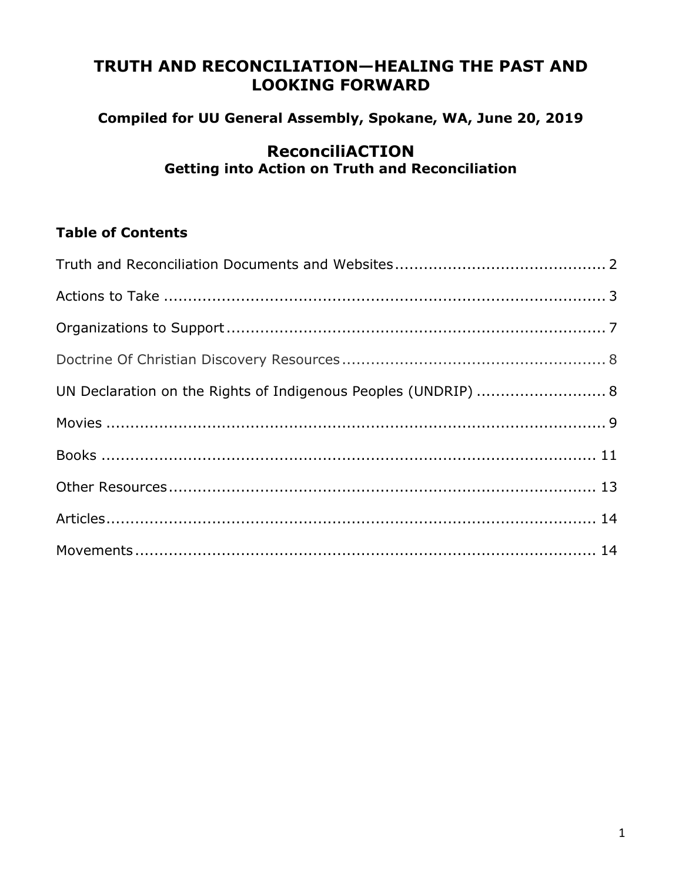# **TRUTH AND RECONCILIATION—HEALING THE PAST AND LOOKING FORWARD**

## **Compiled for UU General Assembly, Spokane, WA, June 20, 2019**

## **ReconciliACTION Getting into Action on Truth and Reconciliation**

## **Table of Contents**

| UN Declaration on the Rights of Indigenous Peoples (UNDRIP)  8 |  |
|----------------------------------------------------------------|--|
|                                                                |  |
|                                                                |  |
|                                                                |  |
|                                                                |  |
|                                                                |  |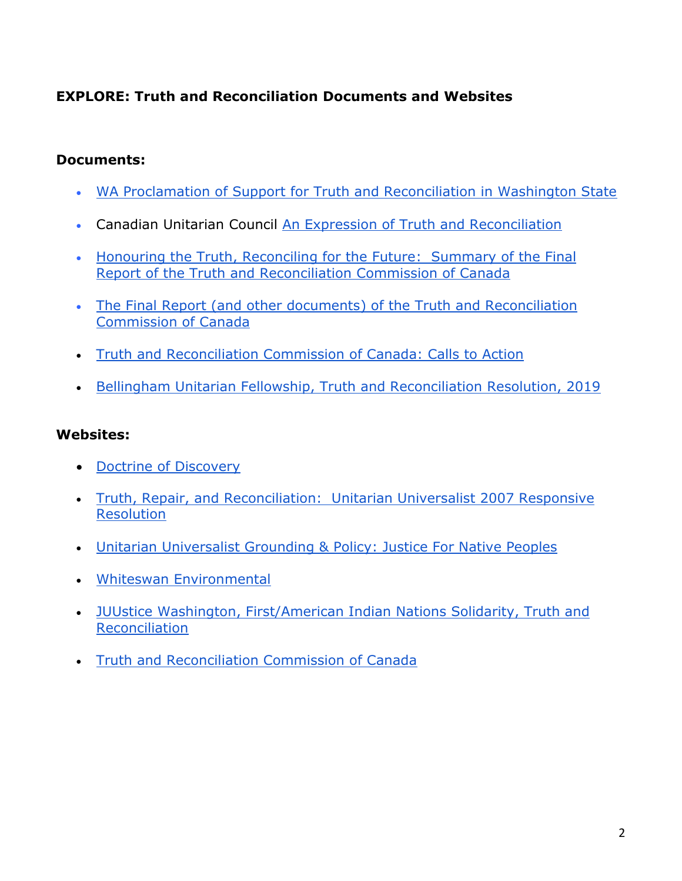## **EXPLORE: Truth and Reconciliation Documents and Websites**

#### **Documents:**

- [WA Proclamation of Support for Truth and Reconciliation in Washington State](https://juustwa.org/wp-content/uploads/2018/11/WA-State-Proclamation-of-Truth-and-Reconciliation.pdf)
- Canadian Unitarian Council [An Expression of Truth and Reconciliation](http://cuc.ca/wp-content/uploads/2018/03/CUC-Expression-of-Reconciliation.pdf)
- [Honouring the Truth, Reconciling for the Future: Summary of the Final](http://www.trc.ca/assets/pdf/Honouring_the_Truth_Reconciling_for_the_Future_July_23_2015.pdf)  [Report of the Truth and Reconciliation Commission of Canada](http://www.trc.ca/assets/pdf/Honouring_the_Truth_Reconciling_for_the_Future_July_23_2015.pdf)
- [The Final Report \(and other documents\) of the Truth and Reconciliation](http://nctr.ca/reports.php)  [Commission of Canada](http://nctr.ca/reports.php)
- [Truth and Reconciliation Commission of Canada: Calls to Action](http://caid.ca/TRCFinCal2015.pdf)
- [Bellingham Unitarian Fellowship, Truth and Reconciliation Resolution, 2019](https://juustwa.org/program-areas/issues/first-american-indian-nations/our-work/truth-and-reconciliation/truth-and-reconciliation-in-washington-state/proposed-truth-and-reconciliation-resolution-bellingham-unitarian-fellowship/)

#### **Websites:**

- [Doctrine of Discovery](http://ili.nativeweb.org/sdrm_art.html)
- [Truth, Repair, and Reconciliation: Unitarian Universalist 2007 Responsive](https://www.uua.org/action/statements/truth-repair-and-reconciliation)  [Resolution](https://www.uua.org/action/statements/truth-repair-and-reconciliation)
- [Unitarian Universalist Grounding & Policy: Justice For Native Peoples](https://www.uua.org/racial-justice/history/uua/nativeamerican)
- [Whiteswan Environmental](https://www.whiteswanenvironmental.org/indigenous-truth-washington.html)
- [JUUstice Washington, First/American Indian Nations Solidarity, Truth and](https://juustwa.org/program-areas/issues/first-american-indian-nations/our-work/truth-and-reconciliation/)  [Reconciliation](https://juustwa.org/program-areas/issues/first-american-indian-nations/our-work/truth-and-reconciliation/)
- [Truth and Reconciliation Commission of Canada](http://www.trc.ca/)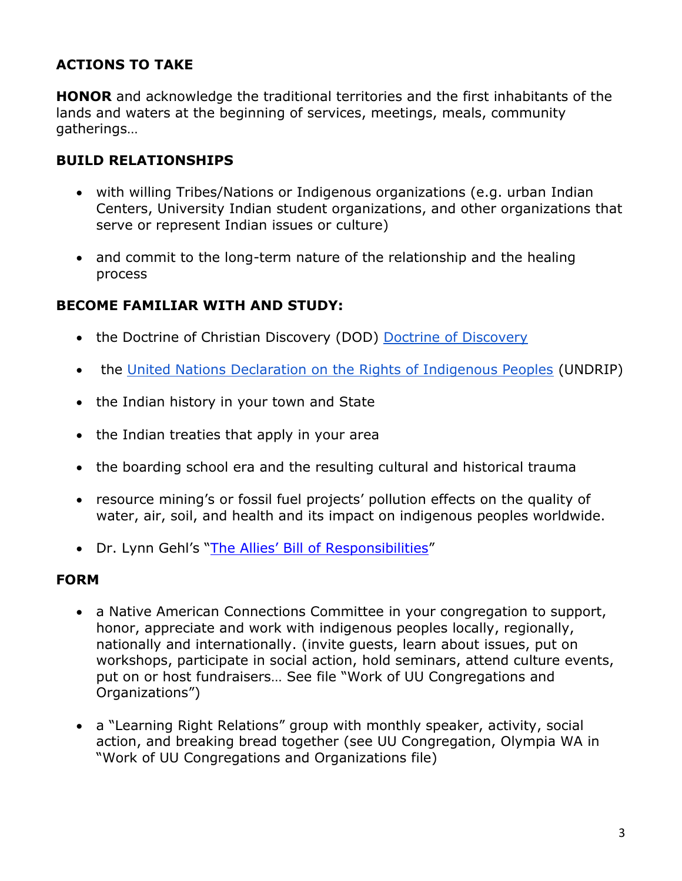## **ACTIONS TO TAKE**

**HONOR** and acknowledge the traditional territories and the first inhabitants of the lands and waters at the beginning of services, meetings, meals, community gatherings…

#### **BUILD RELATIONSHIPS**

- with willing Tribes/Nations or Indigenous organizations (e.g. urban Indian Centers, University Indian student organizations, and other organizations that serve or represent Indian issues or culture)
- and commit to the long-term nature of the relationship and the healing process

#### **BECOME FAMILIAR WITH AND STUDY:**

- the Doctrine of Christian Discovery (DOD) [Doctrine of Discovery](http://ili.nativeweb.org/sdrm_art.html)
- the [United Nations Declaration on the Rights of Indigenous Peoples](https://www.un.org/development/desa/indigenouspeoples/declaration-on-the-rights-of-indigenous-peoples.html) (UNDRIP)
- the Indian history in your town and State
- the Indian treaties that apply in your area
- the boarding school era and the resulting cultural and historical trauma
- resource mining's or fossil fuel projects' pollution effects on the quality of water, air, soil, and health and its impact on indigenous peoples worldwide.
- Dr. Lynn Gehl's ["The Allies' Bill of Responsibilities"](http://www.lynngehl.com/uploads/5/0/0/4/5004954/ally_bill_of_responsibilities_poster.pdf)

#### **FORM**

- a Native American Connections Committee in your congregation to support, honor, appreciate and work with indigenous peoples locally, regionally, nationally and internationally. (invite guests, learn about issues, put on workshops, participate in social action, hold seminars, attend culture events, put on or host fundraisers… See file "Work of UU Congregations and Organizations")
- a "Learning Right Relations" group with monthly speaker, activity, social action, and breaking bread together (see UU Congregation, Olympia WA in "Work of UU Congregations and Organizations file)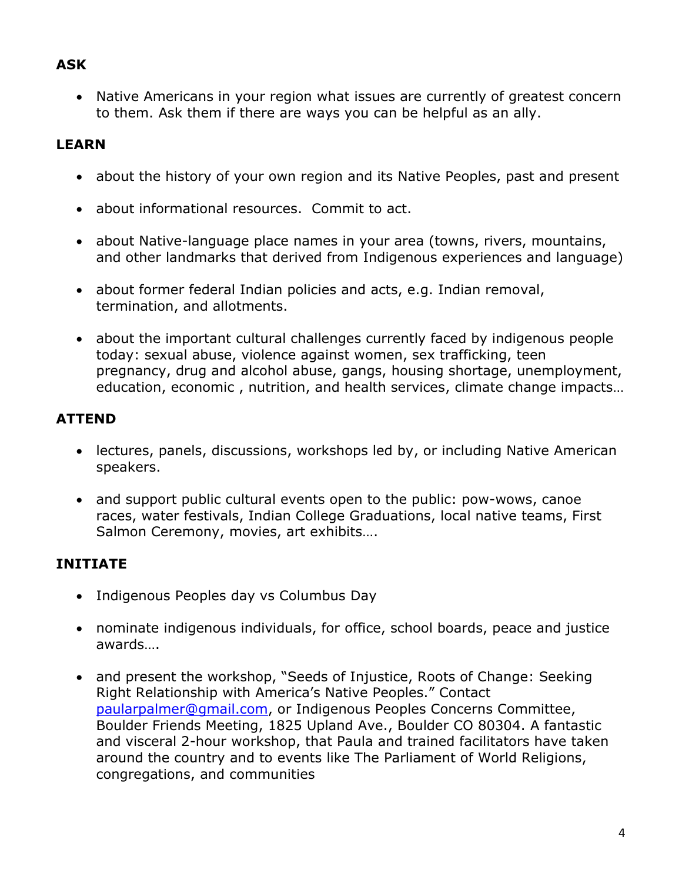## **ASK**

• Native Americans in your region what issues are currently of greatest concern to them. Ask them if there are ways you can be helpful as an ally.

# **LEARN**

- about the history of your own region and its Native Peoples, past and present
- about informational resources. Commit to act.
- about Native-language place names in your area (towns, rivers, mountains, and other landmarks that derived from Indigenous experiences and language)
- about former federal Indian policies and acts, e.g. Indian removal, termination, and allotments.
- about the important cultural challenges currently faced by indigenous people today: sexual abuse, violence against women, sex trafficking, teen pregnancy, drug and alcohol abuse, gangs, housing shortage, unemployment, education, economic , nutrition, and health services, climate change impacts…

# **ATTEND**

- lectures, panels, discussions, workshops led by, or including Native American speakers.
- and support public cultural events open to the public: pow-wows, canoe races, water festivals, Indian College Graduations, local native teams, First Salmon Ceremony, movies, art exhibits….

# **INITIATE**

- Indigenous Peoples day vs Columbus Day
- nominate indigenous individuals, for office, school boards, peace and justice awards….
- and present the workshop, "Seeds of Injustice, Roots of Change: Seeking Right Relationship with America's Native Peoples." Contact [paularpalmer@gmail.com,](mailto:paularpalmer@gmail.com) or Indigenous Peoples Concerns Committee, Boulder Friends Meeting, 1825 Upland Ave., Boulder CO 80304. A fantastic and visceral 2-hour workshop, that Paula and trained facilitators have taken around the country and to events like The Parliament of World Religions, congregations, and communities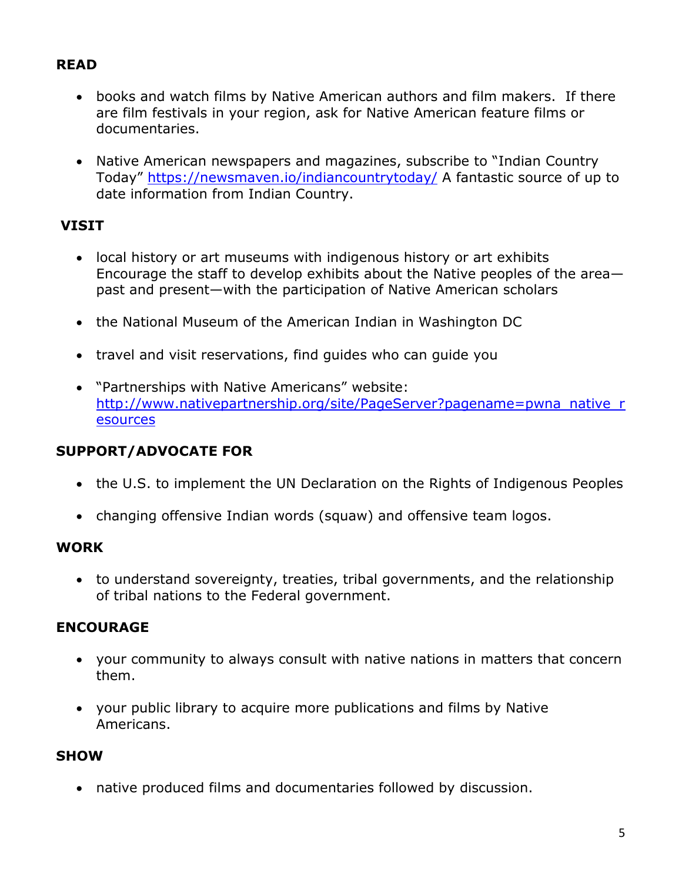## **READ**

- books and watch films by Native American authors and film makers. If there are film festivals in your region, ask for Native American feature films or documentaries.
- Native American newspapers and magazines, subscribe to "Indian Country Today" <https://newsmaven.io/indiancountrytoday/> A fantastic source of up to date information from Indian Country.

## **VISIT**

- local history or art museums with indigenous history or art exhibits Encourage the staff to develop exhibits about the Native peoples of the area past and present—with the participation of Native American scholars
- the National Museum of the American Indian in Washington DC
- travel and visit reservations, find guides who can guide you
- "Partnerships with Native Americans" website: [http://www.nativepartnership.org/site/PageServer?pagename=pwna\\_native\\_r](http://www.nativepartnership.org/site/PageServer?pagename=pwna_native_resources) [esources](http://www.nativepartnership.org/site/PageServer?pagename=pwna_native_resources)

### **SUPPORT/ADVOCATE FOR**

- the U.S. to implement the UN Declaration on the Rights of Indigenous Peoples
- changing offensive Indian words (squaw) and offensive team logos.

#### **WORK**

• to understand sovereignty, treaties, tribal governments, and the relationship of tribal nations to the Federal government.

### **ENCOURAGE**

- your community to always consult with native nations in matters that concern them.
- your public library to acquire more publications and films by Native Americans.

#### **SHOW**

• native produced films and documentaries followed by discussion.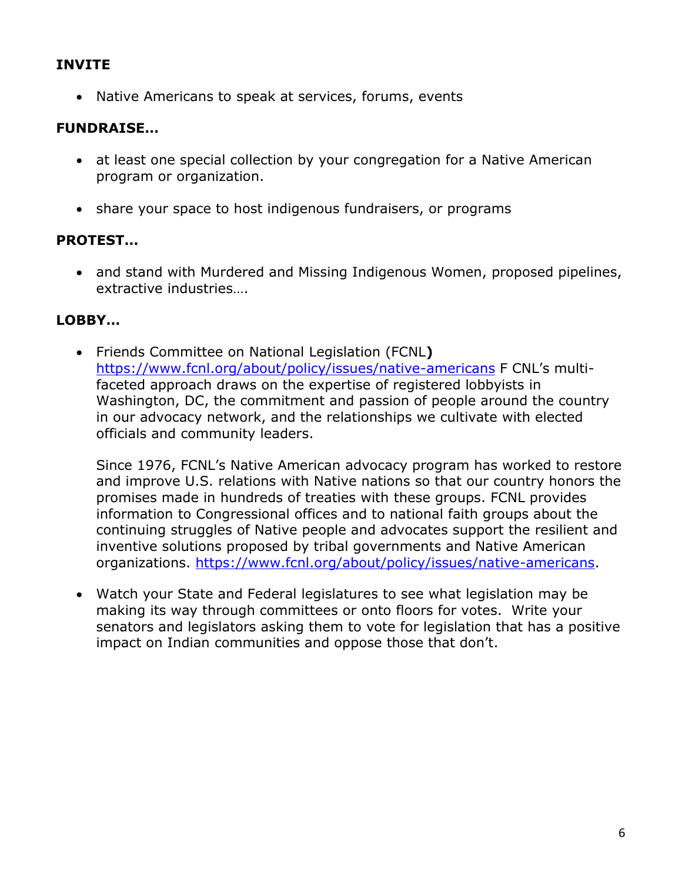### **INVITE**

• Native Americans to speak at services, forums, events

### **FUNDRAISE…**

- at least one special collection by your congregation for a Native American program or organization.
- share your space to host indigenous fundraisers, or programs

### **PROTEST…**

• and stand with Murdered and Missing Indigenous Women, proposed pipelines, extractive industries….

### **LOBBY…**

• Friends Committee on National Legislation (FCNL**)** <https://www.fcnl.org/about/policy/issues/native-americans> F CNL's multifaceted approach draws on the expertise of registered lobbyists in Washington, DC, the commitment and passion of people around the country in our advocacy network, and the relationships we cultivate with elected officials and community leaders.

Since 1976, FCNL's Native American advocacy program has worked to restore and improve U.S. relations with Native nations so that our country honors the promises made in hundreds of treaties with these groups. FCNL provides information to Congressional offices and to national faith groups about the continuing struggles of Native people and advocates support the resilient and inventive solutions proposed by tribal governments and Native American organizations. [https://www.fcnl.org/about/policy/issues/native-americans.](https://www.fcnl.org/about/policy/issues/native-americans)

• Watch your State and Federal legislatures to see what legislation may be making its way through committees or onto floors for votes. Write your senators and legislators asking them to vote for legislation that has a positive impact on Indian communities and oppose those that don't.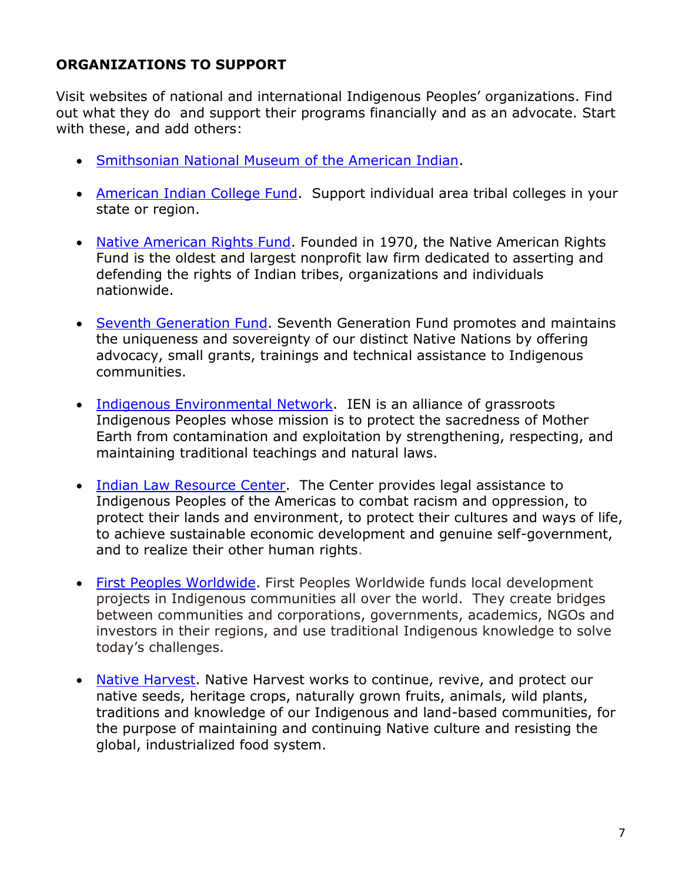### **ORGANIZATIONS TO SUPPORT**

Visit websites of national and international Indigenous Peoples' organizations. Find out what they do and support their programs financially and as an advocate. Start with these, and add others:

- [Smithsonian National Museum of the American Indian.](http://nmai.si.edu/support/membership)
- [American Indian College Fund.](http://www.collegefund.org/) Support individual area tribal colleges in your state or region.
- [Native American Rights Fund.](http://www.narf.org/) Founded in 1970, the Native American Rights Fund is the oldest and largest nonprofit law firm dedicated to asserting and defending the rights of Indian tribes, organizations and individuals nationwide.
- [Seventh Generation Fund.](http://www.7genfund.org/) Seventh Generation Fund promotes and maintains the uniqueness and sovereignty of our distinct Native Nations by offering advocacy, small grants, trainings and technical assistance to Indigenous communities.
- [Indigenous Environmental Network.](http://www.ienearth.org/) IEN is an alliance of grassroots Indigenous Peoples whose mission is to protect the sacredness of Mother Earth from contamination and exploitation by strengthening, respecting, and maintaining traditional teachings and natural laws.
- [Indian Law Resource Center.](http://www.indianlaw.org/) The Center provides legal assistance to Indigenous Peoples of the Americas to combat racism and oppression, to protect their lands and environment, to protect their cultures and ways of life, to achieve sustainable economic development and genuine self-government, and to realize their other human rights.
- [First Peoples Worldwide.](http://www.firstpeoples.org/) First Peoples Worldwide funds local development projects in Indigenous communities all over the world. They create bridges between communities and corporations, governments, academics, NGOs and investors in their regions, and use traditional Indigenous knowledge to solve today's challenges.
- [Native Harvest.](http://www.nativeharvest.com/) Native Harvest works to continue, revive, and protect our native seeds, heritage crops, naturally grown fruits, animals, wild plants, traditions and knowledge of our Indigenous and land-based communities, for the purpose of maintaining and continuing Native culture and resisting the global, industrialized food system.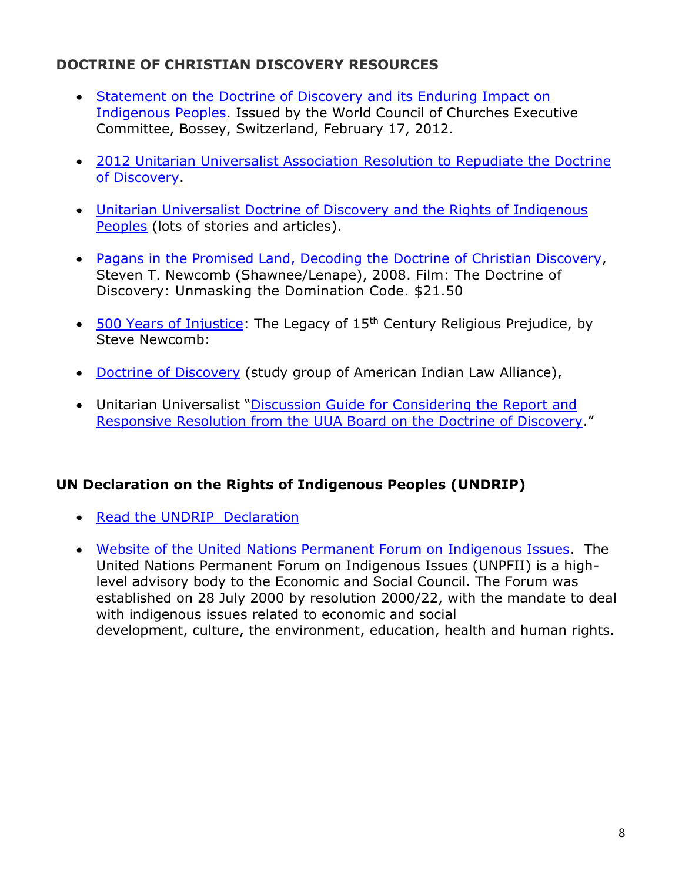## **DOCTRINE OF CHRISTIAN DISCOVERY RESOURCES**

- [Statement on the Doctrine of Discovery and its Enduring Impact on](https://www.oikoumene.org/en/resources/documents/executive-committee/2012-02/statement-on-the-doctrine-of-discovery-and-its-enduring-impact-on-indigenous-peoples)  [Indigenous Peoples.](https://www.oikoumene.org/en/resources/documents/executive-committee/2012-02/statement-on-the-doctrine-of-discovery-and-its-enduring-impact-on-indigenous-peoples) Issued by the World Council of Churches Executive Committee, Bossey, Switzerland, February 17, 2012.
- [2012 Unitarian Universalist Association Resolution to Repudiate the Doctrine](https://www.uua.org/action/statements/doctrine-discovery)  [of Discovery.](https://www.uua.org/action/statements/doctrine-discovery)
- [Unitarian Universalist Doctrine of Discovery and the Rights of Indigenous](https://www.uua.org/racial-justice/dod)  [Peoples](https://www.uua.org/racial-justice/dod) (lots of stories and articles).
- [Pagans in the Promised Land, Decoding the Doctrine of Christian Discovery,](https://www.38plus2productions.com/store/p5/DVD_The_Doctrine_of_Discovery%2C_Unmasking_The_Domination_Code_.html) Steven T. Newcomb (Shawnee/Lenape), 2008. Film: The Doctrine of Discovery: Unmasking the Domination Code. \$21.50
- [500 Years of Injustice:](http://www.ili.nativeweb.org/sdrm_art.html) The Legacy of 15<sup>th</sup> Century Religious Prejudice, by Steve Newcomb:
- [Doctrine of Discovery](http://www.doctrineofdiscovery.org/) (study group of American Indian Law Alliance),
- Unitarian Universalist "[Discussion Guide for Considering the Report and](http://www.uua.org/documents/lfd/dod_discuss_guide.pdf)  [Responsive Resolution from the UUA Board on the Doctrine of Discovery.](http://www.uua.org/documents/lfd/dod_discuss_guide.pdf)"

## **UN Declaration on the Rights of Indigenous Peoples (UNDRIP)**

- [Read the UNDRIP Declaration](http://social.un.org/index/IndigenousPeoples/DeclarationontheRightsofIndigenousPeoples.aspx)
- [Website of the United Nations Permanent Forum on Indigenous Issues.](https://www.un.org/development/desa/indigenouspeoples/about-us.html) The United Nations Permanent Forum on Indigenous Issues (UNPFII) is a highlevel advisory body to the Economic and Social Council. The Forum was established on 28 July 2000 by [resolution](http://www.un.org/development/desa/indigenouspeoples/about-us/resolution-e200022.html) 2000/22, with the mandate to deal with indigenous issues related to [economic](http://www.un.org/development/desa/indigenouspeoples/mandated-areas1/economic-and-social-development.html) and social [development,](http://www.un.org/development/desa/indigenouspeoples/mandated-areas1/economic-and-social-development.html) [culture,](http://www.un.org/development/desa/indigenouspeoples/mandated-areas1/culture.html) the [environment,](https://www.un.org/development/desa/indigenouspeoples/mandated-areas1/environment.html) [education,](https://www.un.org/development/desa/indigenouspeoples/mandated-areas1/education.html) [health](http://www.un.org/development/desa/indigenouspeoples/mandated-areas1/health.html) and [human](http://www.un.org/development/desa/indigenouspeoples/mandated-areas1/human-rights.html) rights.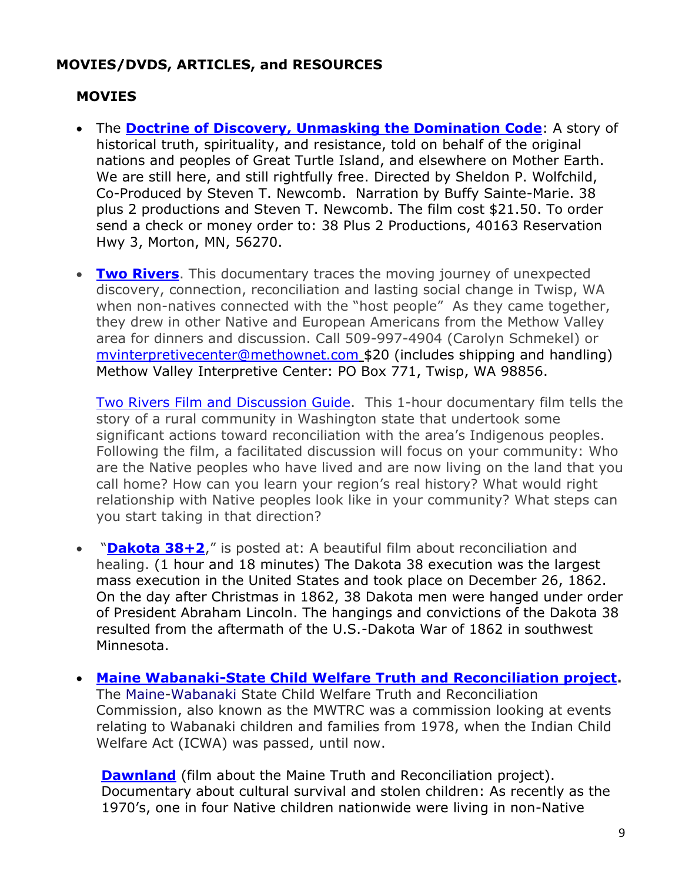### **MOVIES/DVDS, ARTICLES, and RESOURCES**

## **MOVIES**

- The **[Doctrine of Discovery, Unmasking the Domination Code](https://doctrineofdiscovery.org/the-doctrine-of-discovery-unmasking-the-domination-code/)**: A story of historical truth, spirituality, and resistance, told on behalf of the original nations and peoples of Great Turtle Island, and elsewhere on Mother Earth. We are still here, and still rightfully free. Directed by Sheldon P. Wolfchild, Co-Produced by Steven T. Newcomb. Narration by Buffy Sainte-Marie. 38 plus 2 productions and Steven T. Newcomb. The film cost \$21.50. To order send a check or money order to: 38 Plus 2 Productions, 40163 Reservation Hwy 3, Morton, MN, 56270.
- **[Two Rivers](http://www.tworiversfilm.com/2riv_film.htm)**. This documentary traces the moving journey of unexpected discovery, connection, reconciliation and lasting social change in Twisp, WA when non-natives connected with the "host people" As they came together, they drew in other Native and European Americans from the Methow Valley area for dinners and discussion. Call 509-997-4904 (Carolyn Schmekel) or [mvinterpretivecenter@methownet.com](mailto:mvinterpretivecenter@methownet.com) \$20 (includes shipping and handling) Methow Valley Interpretive Center: PO Box 771, Twisp, WA 98856.

[Two Rivers Film and Discussion](https://www.boulderfriendsmeeting.org/wp-content/friends9x4Q/2018/08/Two-Rivers-Film-and-Discussion-general-flyer.pdf) Guide. This 1-hour documentary film tells the story of a rural community in Washington state that undertook some significant actions toward reconciliation with the area's Indigenous peoples. Following the film, a facilitated discussion will focus on your community: Who are the Native peoples who have lived and are now living on the land that you call home? How can you learn your region's real history? What would right relationship with Native peoples look like in your community? What steps can you start taking in that direction?

- <sup>"</sup>[Dakota 38+2](http://www.youtube.com/watch?v=1pX6FBSUyQI)," is posted at: A beautiful film about reconciliation and healing. (1 hour and 18 minutes) The Dakota 38 execution was the largest mass execution in the United States and took place on December 26, 1862. On the day after Christmas in 1862, 38 Dakota men were hanged under order of President Abraham Lincoln. The hangings and convictions of the Dakota 38 resulted from the aftermath of the U.S.-Dakota War of 1862 in southwest Minnesota.
- **[Maine Wabanaki-State Child Welfare](https://upstanderproject.org/firstlight/trc) Truth and Reconciliation project.** The [Maine](https://en.wikipedia.org/wiki/Maine)[-Wabanaki](https://en.wikipedia.org/wiki/Wabanaki_Confederacy) State Child Welfare Truth and Reconciliation Commission, also known as the MWTRC was a commission looking at events relating to Wabanaki children and families from 1978, when the Indian Child Welfare Act (ICWA) was passed, until now.

**[Dawnland](http://www.dawnland.org/synopsis/)** (film about the Maine Truth and Reconciliation project). Documentary about cultural survival and stolen children: As recently as the 1970's, one in four Native children nationwide were living in non-Native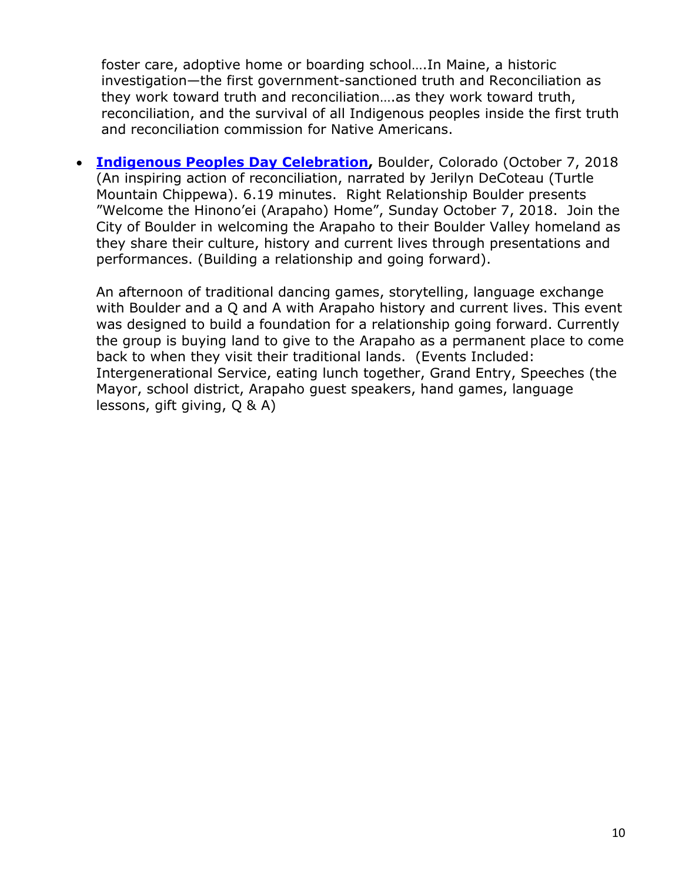foster care, adoptive home or boarding school….In Maine, a historic investigation—the first government-sanctioned truth and Reconciliation as they work toward truth and reconciliation….as they work toward truth, reconciliation, and the survival of all Indigenous peoples inside the first truth and reconciliation commission for Native Americans.

• **[Indigenous Peoples Day Celebration,](https://youtu.be/fHyTr1avsAk)** Boulder, Colorado (October 7, 2018 (An inspiring action of reconciliation, narrated by Jerilyn DeCoteau (Turtle Mountain Chippewa). 6.19 minutes. Right Relationship Boulder presents "Welcome the Hinono'ei (Arapaho) Home", Sunday October 7, 2018. Join the City of Boulder in welcoming the Arapaho to their Boulder Valley homeland as they share their culture, history and current lives through presentations and performances. (Building a relationship and going forward).

An afternoon of traditional dancing games, storytelling, language exchange with Boulder and a Q and A with Arapaho history and current lives. This event was designed to build a foundation for a relationship going forward. Currently the group is buying land to give to the Arapaho as a permanent place to come back to when they visit their traditional lands. (Events Included: Intergenerational Service, eating lunch together, Grand Entry, Speeches (the Mayor, school district, Arapaho guest speakers, hand games, language lessons, gift giving, Q & A)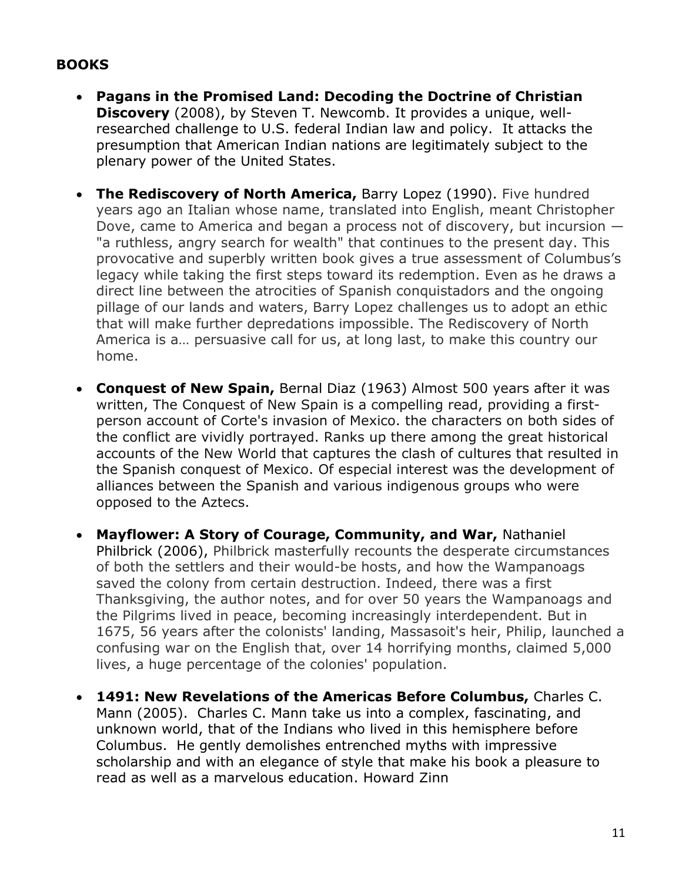## **BOOKS**

- **Pagans in the Promised Land: Decoding the Doctrine of Christian Discovery** (2008), by Steven T. Newcomb. It provides a unique, wellresearched challenge to U.S. federal Indian law and policy. It attacks the presumption that American Indian nations are legitimately subject to the plenary power of the United States.
- **The Rediscovery of North America,** Barry Lopez (1990). Five hundred years ago an Italian whose name, translated into English, meant Christopher Dove, came to America and began a process not of discovery, but incursion — "a ruthless, angry search for wealth" that continues to the present day. This provocative and superbly written book gives a true assessment of Columbus's legacy while taking the first steps toward its redemption. Even as he draws a direct line between the atrocities of Spanish conquistadors and the ongoing pillage of our lands and waters, Barry Lopez challenges us to adopt an ethic that will make further depredations impossible. The Rediscovery of North America is a… persuasive call for us, at long last, to make this country our home.
- **Conquest of New Spain,** Bernal Diaz (1963) Almost 500 years after it was written, The Conquest of New Spain is a compelling read, providing a firstperson account of Corte's invasion of Mexico. the characters on both sides of the conflict are vividly portrayed. Ranks up there among the great historical accounts of the New World that captures the clash of cultures that resulted in the Spanish conquest of Mexico. Of especial interest was the development of alliances between the Spanish and various indigenous groups who were opposed to the Aztecs.
- **Mayflower: A Story of Courage, Community, and War,** Nathaniel Philbrick (2006), Philbrick masterfully recounts the desperate circumstances of both the settlers and their would-be hosts, and how the Wampanoags saved the colony from certain destruction. Indeed, there was a first Thanksgiving, the author notes, and for over 50 years the Wampanoags and the Pilgrims lived in peace, becoming increasingly interdependent. But in 1675, 56 years after the colonists' landing, Massasoit's heir, Philip, launched a confusing war on the English that, over 14 horrifying months, claimed 5,000 lives, a huge percentage of the colonies' population.
- **1491: New Revelations of the Americas Before Columbus,** Charles C. Mann (2005). Charles C. Mann take us into a complex, fascinating, and unknown world, that of the Indians who lived in this hemisphere before Columbus. He gently demolishes entrenched myths with impressive scholarship and with an elegance of style that make his book a pleasure to read as well as a marvelous education. Howard Zinn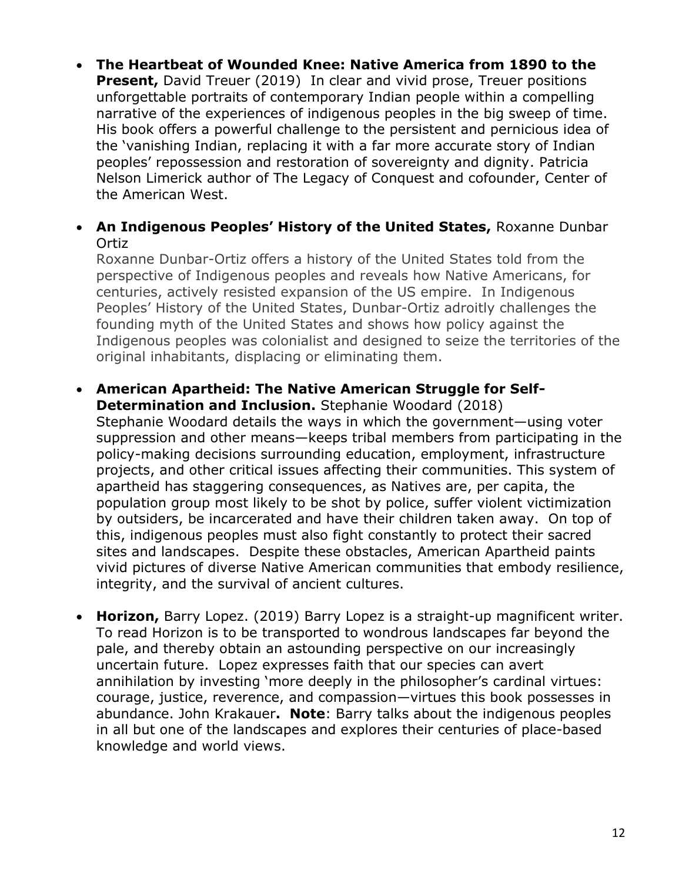• **The Heartbeat of Wounded Knee: Native America from 1890 to the Present, David Treuer (2019) In clear and vivid prose, Treuer positions** unforgettable portraits of contemporary Indian people within a compelling narrative of the experiences of indigenous peoples in the big sweep of time. His book offers a powerful challenge to the persistent and pernicious idea of the 'vanishing Indian, replacing it with a far more accurate story of Indian peoples' repossession and restoration of sovereignty and dignity. Patricia Nelson Limerick author of The Legacy of Conquest and cofounder, Center of the American West.

#### • **An Indigenous Peoples' History of the United States,** Roxanne Dunbar Ortiz

Roxanne Dunbar-Ortiz offers a history of the United States told from the perspective of Indigenous peoples and reveals how Native Americans, for centuries, actively resisted expansion of the US empire. In Indigenous Peoples' History of the United States, Dunbar-Ortiz adroitly challenges the founding myth of the United States and shows how policy against the Indigenous peoples was colonialist and designed to seize the territories of the original inhabitants, displacing or eliminating them.

### • **American Apartheid: The Native American Struggle for Self-Determination and Inclusion.** Stephanie Woodard (2018) Stephanie Woodard details the ways in which the government—using voter suppression and other means—keeps tribal members from participating in the policy-making decisions surrounding education, employment, infrastructure projects, and other critical issues affecting their communities. This system of apartheid has staggering consequences, as Natives are, per capita, the population group most likely to be shot by police, suffer violent victimization by outsiders, be incarcerated and have their children taken away. On top of

this, indigenous peoples must also fight constantly to protect their sacred sites and landscapes. Despite these obstacles, American Apartheid paints vivid pictures of diverse Native American communities that embody resilience, integrity, and the survival of ancient cultures.

• **Horizon,** Barry Lopez. (2019) Barry Lopez is a straight-up magnificent writer. To read Horizon is to be transported to wondrous landscapes far beyond the pale, and thereby obtain an astounding perspective on our increasingly uncertain future. Lopez expresses faith that our species can avert annihilation by investing 'more deeply in the philosopher's cardinal virtues: courage, justice, reverence, and compassion—virtues this book possesses in abundance. John Krakauer**. Note**: Barry talks about the indigenous peoples in all but one of the landscapes and explores their centuries of place-based knowledge and world views.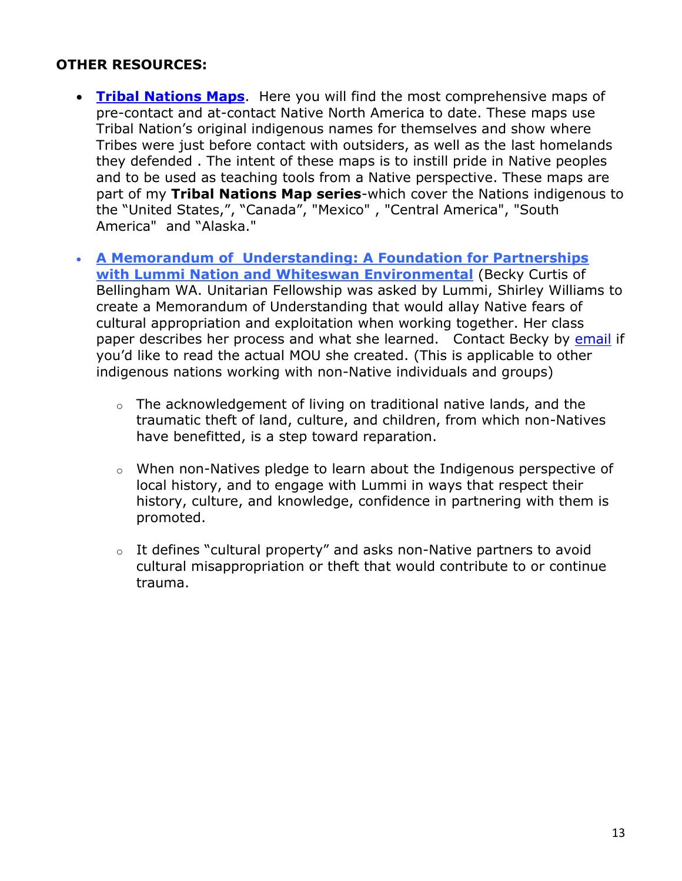### **OTHER RESOURCES:**

- **[Tribal Nations Maps](http://www.tribalnationsmaps.com/)**. Here you will find the most comprehensive maps of pre-contact and at-contact Native North America to date. These maps use Tribal Nation's original indigenous names for themselves and show where Tribes were just before contact with outsiders, as well as the last homelands they defended . The intent of these maps is to instill pride in Native peoples and to be used as teaching tools from a Native perspective. These maps are part of my **Tribal Nations Map series**-which cover the Nations indigenous to the "United States,", "Canada", "Mexico" , "Central America", "South America" and "Alaska."
- **[A Memorandum of Understanding: A Foundation for Partnerships](https://docs.google.com/document/d/11cX6EkggyLwQU5SrEfVvADYIFTRJ3W8Ui-DMBTMUcQI/edit)  with Lummi [Nation and Whiteswan Environmental](https://docs.google.com/document/d/11cX6EkggyLwQU5SrEfVvADYIFTRJ3W8Ui-DMBTMUcQI/edit)** (Becky Curtis of Bellingham WA. Unitarian Fellowship was asked by Lummi, Shirley Williams to create a Memorandum of Understanding that would allay Native fears of cultural appropriation and exploitation when working together. Her class paper describes her process and what she learned. Contact Becky by [email](rebeccasusancurtis@gmail.com) if you'd like to read the actual MOU she created. (This is applicable to other indigenous nations working with non-Native individuals and groups)
	- $\circ$  The acknowledgement of living on traditional native lands, and the traumatic theft of land, culture, and children, from which non-Natives have benefitted, is a step toward reparation.
	- o When non-Natives pledge to learn about the Indigenous perspective of local history, and to engage with Lummi in ways that respect their history, culture, and knowledge, confidence in partnering with them is promoted.
	- $\circ$  It defines "cultural property" and asks non-Native partners to avoid cultural misappropriation or theft that would contribute to or continue trauma.